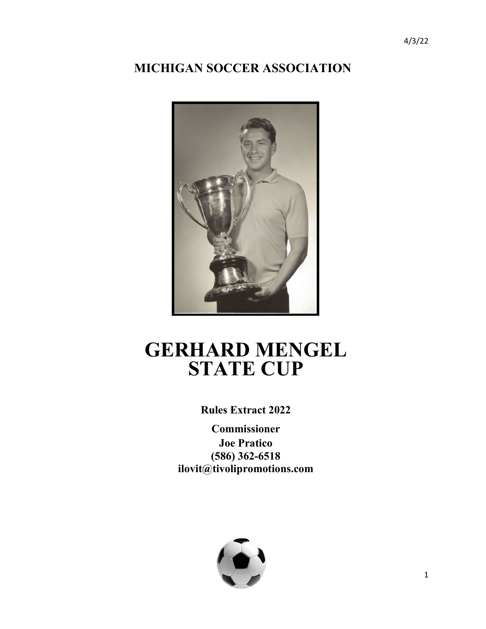## **MICHIGAN SOCCER ASSOCIATION**



# **GERHARD MENGEL STATE CUP**

## **Rules Extract 2022**

**Commissioner Joe Pratico (586) 362-6518 ilovit@tivolipromotions.com**

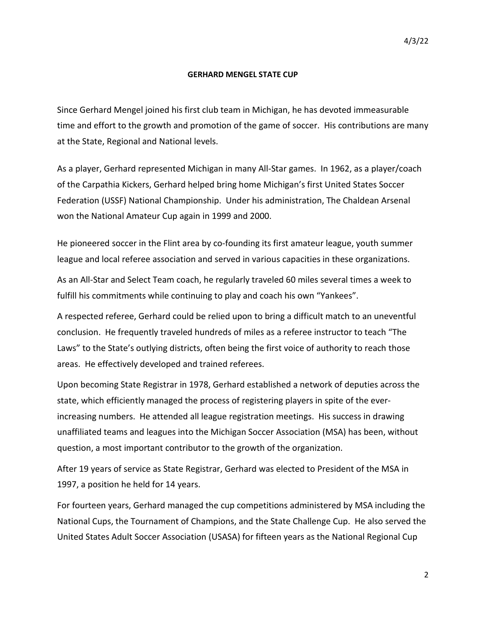#### **GERHARD MENGEL STATE CUP**

Since Gerhard Mengel joined his first club team in Michigan, he has devoted immeasurable time and effort to the growth and promotion of the game of soccer. His contributions are many at the State, Regional and National levels.

As a player, Gerhard represented Michigan in many All-Star games. In 1962, as a player/coach of the Carpathia Kickers, Gerhard helped bring home Michigan's first United States Soccer Federation (USSF) National Championship. Under his administration, The Chaldean Arsenal won the National Amateur Cup again in 1999 and 2000.

He pioneered soccer in the Flint area by co-founding its first amateur league, youth summer league and local referee association and served in various capacities in these organizations.

As an All-Star and Select Team coach, he regularly traveled 60 miles several times a week to fulfill his commitments while continuing to play and coach his own "Yankees".

A respected referee, Gerhard could be relied upon to bring a difficult match to an uneventful conclusion. He frequently traveled hundreds of miles as a referee instructor to teach "The Laws" to the State's outlying districts, often being the first voice of authority to reach those areas. He effectively developed and trained referees.

Upon becoming State Registrar in 1978, Gerhard established a network of deputies across the state, which efficiently managed the process of registering players in spite of the everincreasing numbers. He attended all league registration meetings. His success in drawing unaffiliated teams and leagues into the Michigan Soccer Association (MSA) has been, without question, a most important contributor to the growth of the organization.

After 19 years of service as State Registrar, Gerhard was elected to President of the MSA in 1997, a position he held for 14 years.

For fourteen years, Gerhard managed the cup competitions administered by MSA including the National Cups, the Tournament of Champions, and the State Challenge Cup. He also served the United States Adult Soccer Association (USASA) for fifteen years as the National Regional Cup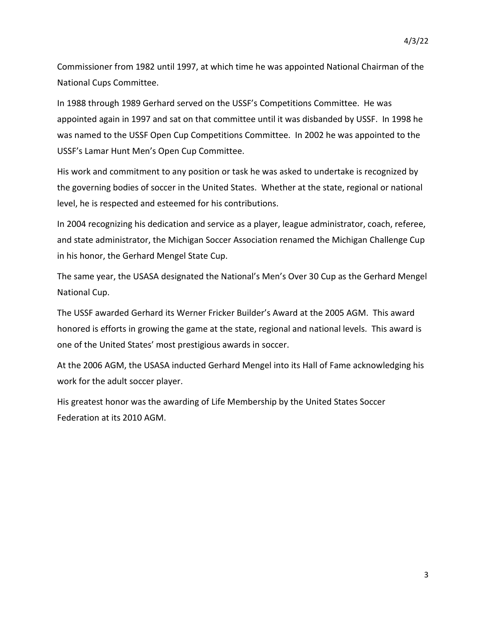Commissioner from 1982 until 1997, at which time he was appointed National Chairman of the National Cups Committee.

In 1988 through 1989 Gerhard served on the USSF's Competitions Committee. He was appointed again in 1997 and sat on that committee until it was disbanded by USSF. In 1998 he was named to the USSF Open Cup Competitions Committee. In 2002 he was appointed to the USSF's Lamar Hunt Men's Open Cup Committee.

His work and commitment to any position or task he was asked to undertake is recognized by the governing bodies of soccer in the United States. Whether at the state, regional or national level, he is respected and esteemed for his contributions.

In 2004 recognizing his dedication and service as a player, league administrator, coach, referee, and state administrator, the Michigan Soccer Association renamed the Michigan Challenge Cup in his honor, the Gerhard Mengel State Cup.

The same year, the USASA designated the National's Men's Over 30 Cup as the Gerhard Mengel National Cup.

The USSF awarded Gerhard its Werner Fricker Builder's Award at the 2005 AGM. This award honored is efforts in growing the game at the state, regional and national levels. This award is one of the United States' most prestigious awards in soccer.

At the 2006 AGM, the USASA inducted Gerhard Mengel into its Hall of Fame acknowledging his work for the adult soccer player.

His greatest honor was the awarding of Life Membership by the United States Soccer Federation at its 2010 AGM.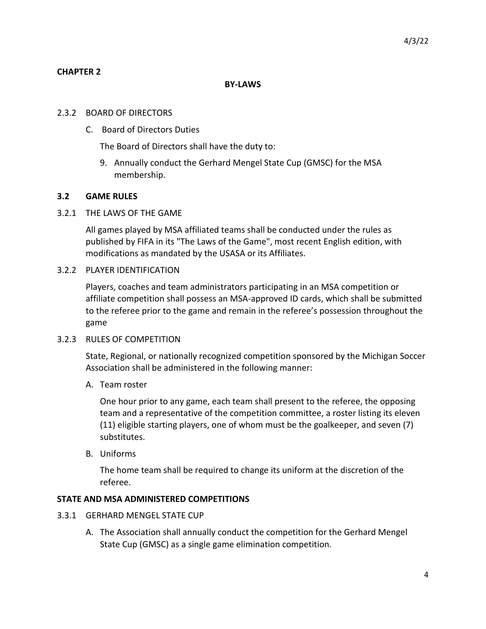#### **CHAPTER 2**

#### **BY-LAWS**

#### 2.3.2 BOARD OF DIRECTORS

C. Board of Directors Duties

The Board of Directors shall have the duty to:

9. Annually conduct the Gerhard Mengel State Cup (GMSC) for the MSA membership.

#### **3.2 GAME RULES**

#### 3.2.1 THE LAWS OF THE GAME

All games played by MSA affiliated teams shall be conducted under the rules as published by FIFA in its "The Laws of the Game", most recent English edition, with modifications as mandated by the USASA or its Affiliates.

#### 3.2.2 PLAYER IDENTIFICATION

Players, coaches and team administrators participating in an MSA competition or affiliate competition shall possess an MSA-approved ID cards, which shall be submitted to the referee prior to the game and remain in the referee's possession throughout the game

#### 3.2.3 RULES OF COMPETITION

State, Regional, or nationally recognized competition sponsored by the Michigan Soccer Association shall be administered in the following manner:

A. Team roster

One hour prior to any game, each team shall present to the referee, the opposing team and a representative of the competition committee, a roster listing its eleven (11) eligible starting players, one of whom must be the goalkeeper, and seven (7) substitutes.

B. Uniforms

The home team shall be required to change its uniform at the discretion of the referee.

#### **STATE AND MSA ADMINISTERED COMPETITIONS**

- 3.3.1 GERHARD MENGEL STATE CUP
	- A. The Association shall annually conduct the competition for the Gerhard Mengel State Cup (GMSC) as a single game elimination competition.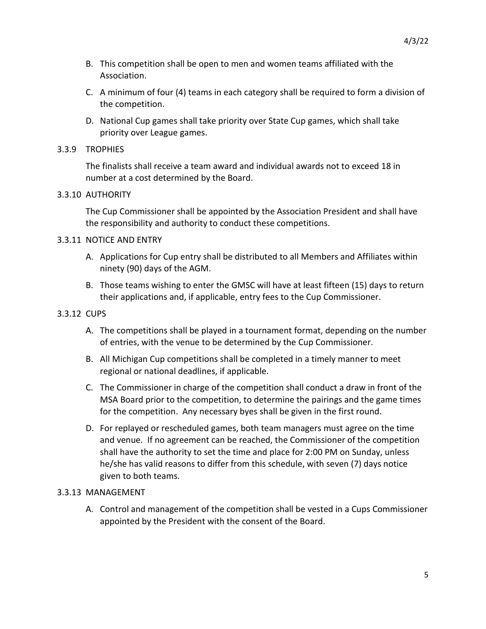- B. This competition shall be open to men and women teams affiliated with the Association.
- C. A minimum of four (4) teams in each category shall be required to form a division of the competition.
- D. National Cup games shall take priority over State Cup games, which shall take priority over League games.

#### 3.3.9 TROPHIES

The finalists shall receive a team award and individual awards not to exceed 18 in number at a cost determined by the Board.

#### 3.3.10 AUTHORITY

The Cup Commissioner shall be appointed by the Association President and shall have the responsibility and authority to conduct these competitions.

#### 3.3.11 NOTICE AND ENTRY

- A. Applications for Cup entry shall be distributed to all Members and Affiliates within ninety (90) days of the AGM.
- B. Those teams wishing to enter the GMSC will have at least fifteen (15) days to return their applications and, if applicable, entry fees to the Cup Commissioner.

#### 3.3.12 CUPS

- A. The competitions shall be played in a tournament format, depending on the number of entries, with the venue to be determined by the Cup Commissioner.
- B. All Michigan Cup competitions shall be completed in a timely manner to meet regional or national deadlines, if applicable.
- C. The Commissioner in charge of the competition shall conduct a draw in front of the MSA Board prior to the competition, to determine the pairings and the game times for the competition. Any necessary byes shall be given in the first round.
- D. For replayed or rescheduled games, both team managers must agree on the time and venue. If no agreement can be reached, the Commissioner of the competition shall have the authority to set the time and place for 2:00 PM on Sunday, unless he/she has valid reasons to differ from this schedule, with seven (7) days notice given to both teams.

#### 3.3.13 MANAGEMENT

A. Control and management of the competition shall be vested in a Cups Commissioner appointed by the President with the consent of the Board.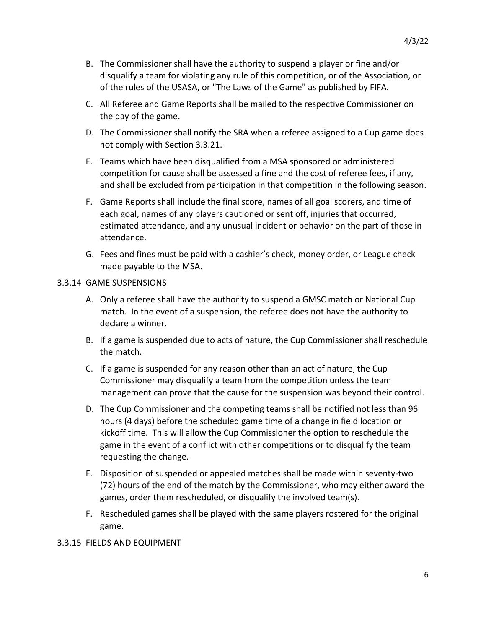- B. The Commissioner shall have the authority to suspend a player or fine and/or disqualify a team for violating any rule of this competition, or of the Association, or of the rules of the USASA, or "The Laws of the Game" as published by FIFA.
- C. All Referee and Game Reports shall be mailed to the respective Commissioner on the day of the game.
- D. The Commissioner shall notify the SRA when a referee assigned to a Cup game does not comply with Section 3.3.21.
- E. Teams which have been disqualified from a MSA sponsored or administered competition for cause shall be assessed a fine and the cost of referee fees, if any, and shall be excluded from participation in that competition in the following season.
- F. Game Reports shall include the final score, names of all goal scorers, and time of each goal, names of any players cautioned or sent off, injuries that occurred, estimated attendance, and any unusual incident or behavior on the part of those in attendance.
- G. Fees and fines must be paid with a cashier's check, money order, or League check made payable to the MSA.

#### 3.3.14 GAME SUSPENSIONS

- A. Only a referee shall have the authority to suspend a GMSC match or National Cup match. In the event of a suspension, the referee does not have the authority to declare a winner.
- B. If a game is suspended due to acts of nature, the Cup Commissioner shall reschedule the match.
- C. If a game is suspended for any reason other than an act of nature, the Cup Commissioner may disqualify a team from the competition unless the team management can prove that the cause for the suspension was beyond their control.
- D. The Cup Commissioner and the competing teams shall be notified not less than 96 hours (4 days) before the scheduled game time of a change in field location or kickoff time. This will allow the Cup Commissioner the option to reschedule the game in the event of a conflict with other competitions or to disqualify the team requesting the change.
- E. Disposition of suspended or appealed matches shall be made within seventy-two (72) hours of the end of the match by the Commissioner, who may either award the games, order them rescheduled, or disqualify the involved team(s).
- F. Rescheduled games shall be played with the same players rostered for the original game.

#### 3.3.15 FIELDS AND EQUIPMENT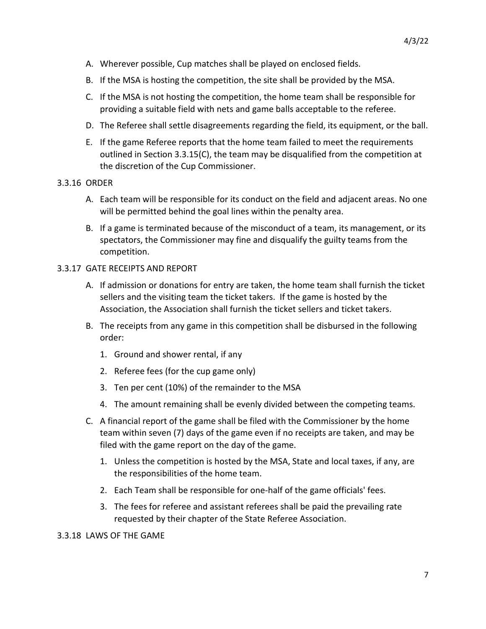- A. Wherever possible, Cup matches shall be played on enclosed fields.
- B. If the MSA is hosting the competition, the site shall be provided by the MSA.
- C. If the MSA is not hosting the competition, the home team shall be responsible for providing a suitable field with nets and game balls acceptable to the referee.
- D. The Referee shall settle disagreements regarding the field, its equipment, or the ball.
- E. If the game Referee reports that the home team failed to meet the requirements outlined in Section 3.3.15(C), the team may be disqualified from the competition at the discretion of the Cup Commissioner.

#### 3.3.16 ORDER

- A. Each team will be responsible for its conduct on the field and adjacent areas. No one will be permitted behind the goal lines within the penalty area.
- B. If a game is terminated because of the misconduct of a team, its management, or its spectators, the Commissioner may fine and disqualify the guilty teams from the competition.

#### 3.3.17 GATE RECEIPTS AND REPORT

- A. If admission or donations for entry are taken, the home team shall furnish the ticket sellers and the visiting team the ticket takers. If the game is hosted by the Association, the Association shall furnish the ticket sellers and ticket takers.
- B. The receipts from any game in this competition shall be disbursed in the following order:
	- 1. Ground and shower rental, if any
	- 2. Referee fees (for the cup game only)
	- 3. Ten per cent (10%) of the remainder to the MSA
	- 4. The amount remaining shall be evenly divided between the competing teams.
- C. A financial report of the game shall be filed with the Commissioner by the home team within seven (7) days of the game even if no receipts are taken, and may be filed with the game report on the day of the game.
	- 1. Unless the competition is hosted by the MSA, State and local taxes, if any, are the responsibilities of the home team.
	- 2. Each Team shall be responsible for one-half of the game officials' fees.
	- 3. The fees for referee and assistant referees shall be paid the prevailing rate requested by their chapter of the State Referee Association.

3.3.18 LAWS OF THE GAME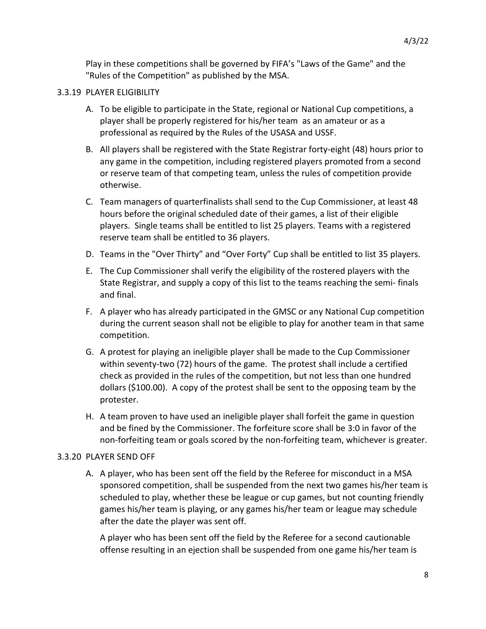Play in these competitions shall be governed by FIFA's "Laws of the Game" and the "Rules of the Competition" as published by the MSA.

#### 3.3.19 PLAYER ELIGIBILITY

- A. To be eligible to participate in the State, regional or National Cup competitions, a player shall be properly registered for his/her team as an amateur or as a professional as required by the Rules of the USASA and USSF.
- B. All players shall be registered with the State Registrar forty-eight (48) hours prior to any game in the competition, including registered players promoted from a second or reserve team of that competing team, unless the rules of competition provide otherwise.
- C. Team managers of quarterfinalists shall send to the Cup Commissioner, at least 48 hours before the original scheduled date of their games, a list of their eligible players. Single teams shall be entitled to list 25 players. Teams with a registered reserve team shall be entitled to 36 players.
- D. Teams in the "Over Thirty" and "Over Forty" Cup shall be entitled to list 35 players.
- E. The Cup Commissioner shall verify the eligibility of the rostered players with the State Registrar, and supply a copy of this list to the teams reaching the semi- finals and final.
- F. A player who has already participated in the GMSC or any National Cup competition during the current season shall not be eligible to play for another team in that same competition.
- G. A protest for playing an ineligible player shall be made to the Cup Commissioner within seventy-two (72) hours of the game. The protest shall include a certified check as provided in the rules of the competition, but not less than one hundred dollars (\$100.00). A copy of the protest shall be sent to the opposing team by the protester.
- H. A team proven to have used an ineligible player shall forfeit the game in question and be fined by the Commissioner. The forfeiture score shall be 3:0 in favor of the non-forfeiting team or goals scored by the non-forfeiting team, whichever is greater.

#### 3.3.20 PLAYER SEND OFF

A. A player, who has been sent off the field by the Referee for misconduct in a MSA sponsored competition, shall be suspended from the next two games his/her team is scheduled to play, whether these be league or cup games, but not counting friendly games his/her team is playing, or any games his/her team or league may schedule after the date the player was sent off.

A player who has been sent off the field by the Referee for a second cautionable offense resulting in an ejection shall be suspended from one game his/her team is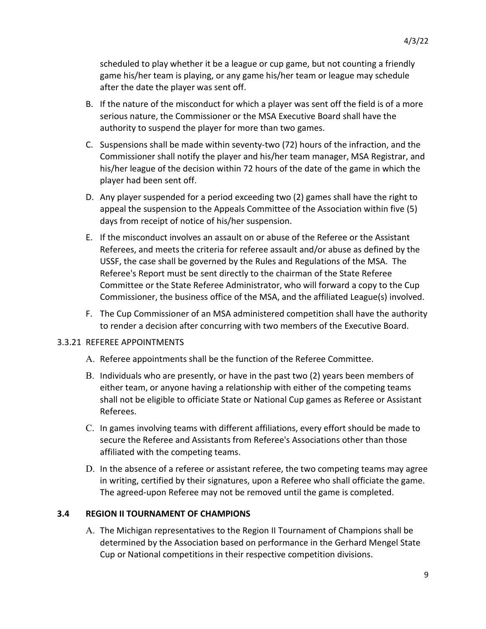scheduled to play whether it be a league or cup game, but not counting a friendly game his/her team is playing, or any game his/her team or league may schedule after the date the player was sent off.

- B. If the nature of the misconduct for which a player was sent off the field is of a more serious nature, the Commissioner or the MSA Executive Board shall have the authority to suspend the player for more than two games.
- C. Suspensions shall be made within seventy-two (72) hours of the infraction, and the Commissioner shall notify the player and his/her team manager, MSA Registrar, and his/her league of the decision within 72 hours of the date of the game in which the player had been sent off.
- D. Any player suspended for a period exceeding two (2) games shall have the right to appeal the suspension to the Appeals Committee of the Association within five (5) days from receipt of notice of his/her suspension.
- E. If the misconduct involves an assault on or abuse of the Referee or the Assistant Referees, and meets the criteria for referee assault and/or abuse as defined by the USSF, the case shall be governed by the Rules and Regulations of the MSA. The Referee's Report must be sent directly to the chairman of the State Referee Committee or the State Referee Administrator, who will forward a copy to the Cup Commissioner, the business office of the MSA, and the affiliated League(s) involved.
- F. The Cup Commissioner of an MSA administered competition shall have the authority to render a decision after concurring with two members of the Executive Board.

#### 3.3.21 REFEREE APPOINTMENTS

- A. Referee appointments shall be the function of the Referee Committee.
- B. Individuals who are presently, or have in the past two (2) years been members of either team, or anyone having a relationship with either of the competing teams shall not be eligible to officiate State or National Cup games as Referee or Assistant Referees.
- C. In games involving teams with different affiliations, every effort should be made to secure the Referee and Assistants from Referee's Associations other than those affiliated with the competing teams.
- D. In the absence of a referee or assistant referee, the two competing teams may agree in writing, certified by their signatures, upon a Referee who shall officiate the game. The agreed-upon Referee may not be removed until the game is completed.

#### **3.4 REGION II TOURNAMENT OF CHAMPIONS**

A. The Michigan representatives to the Region II Tournament of Champions shall be determined by the Association based on performance in the Gerhard Mengel State Cup or National competitions in their respective competition divisions.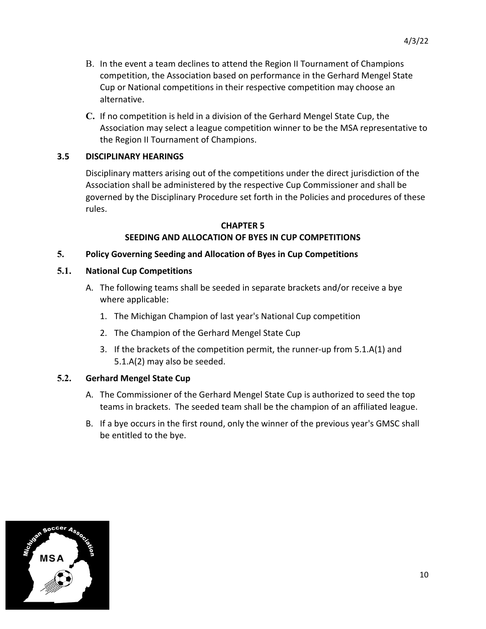- B. In the event a team declines to attend the Region II Tournament of Champions competition, the Association based on performance in the Gerhard Mengel State Cup or National competitions in their respective competition may choose an alternative.
- **C.** If no competition is held in a division of the Gerhard Mengel State Cup, the Association may select a league competition winner to be the MSA representative to the Region II Tournament of Champions.

#### **3.5 DISCIPLINARY HEARINGS**

Disciplinary matters arising out of the competitions under the direct jurisdiction of the Association shall be administered by the respective Cup Commissioner and shall be governed by the Disciplinary Procedure set forth in the Policies and procedures of these rules.

#### **CHAPTER 5 SEEDING AND ALLOCATION OF BYES IN CUP COMPETITIONS**

#### **5. Policy Governing Seeding and Allocation of Byes in Cup Competitions**

#### **5.1. National Cup Competitions**

- A. The following teams shall be seeded in separate brackets and/or receive a bye where applicable:
	- 1. The Michigan Champion of last year's National Cup competition
	- 2. The Champion of the Gerhard Mengel State Cup
	- 3. If the brackets of the competition permit, the runner-up from 5.1.A(1) and 5.1.A(2) may also be seeded.

#### **5.2. Gerhard Mengel State Cup**

- A. The Commissioner of the Gerhard Mengel State Cup is authorized to seed the top teams in brackets. The seeded team shall be the champion of an affiliated league.
- B. If a bye occurs in the first round, only the winner of the previous year's GMSC shall be entitled to the bye.

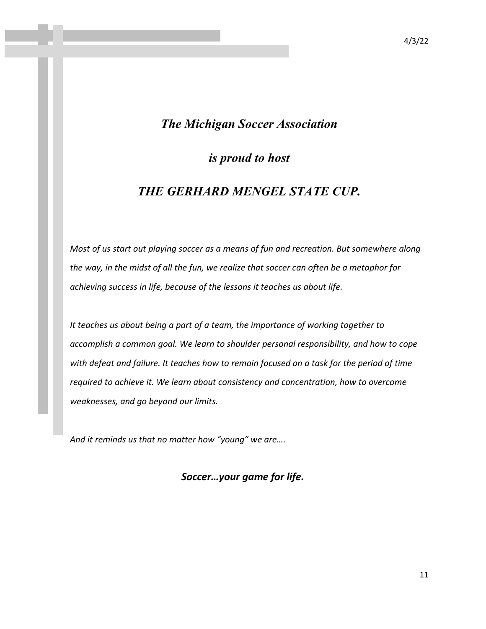#### 4/3/22

### *The Michigan Soccer Association*

*is proud to host*

## *THE GERHARD MENGEL STATE CUP.*

*Most of us start out playing soccer as a means of fun and recreation. But somewhere along the way, in the midst of all the fun, we realize that soccer can often be a metaphor for achieving success in life, because of the lessons it teaches us about life.* 

*It teaches us about being a part of a team, the importance of working together to accomplish a common goal. We learn to shoulder personal responsibility, and how to cope with defeat and failure. It teaches how to remain focused on a task for the period of time required to achieve it. We learn about consistency and concentration, how to overcome weaknesses, and go beyond our limits.* 

*And it reminds us that no matter how "young" we are….*

*Soccer…your game for life.*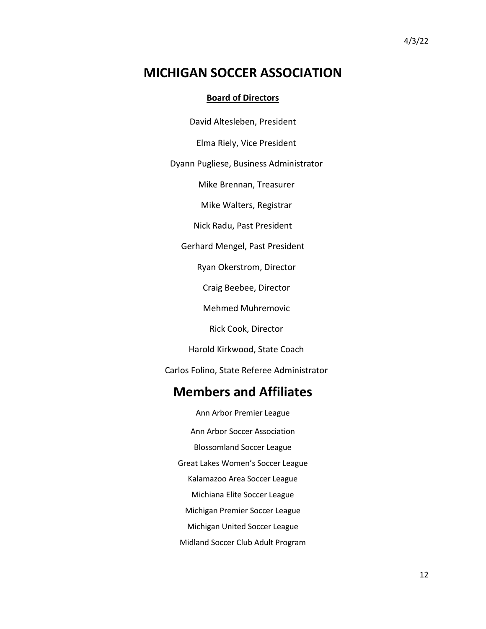## **MICHIGAN SOCCER ASSOCIATION**

#### **Board of Directors**

David Altesleben, President

Elma Riely, Vice President

Dyann Pugliese, Business Administrator

Mike Brennan, Treasurer

Mike Walters, Registrar

Nick Radu, Past President

Gerhard Mengel, Past President

Ryan Okerstrom, Director

Craig Beebee, Director

Mehmed Muhremovic

Rick Cook, Director

Harold Kirkwood, State Coach

Carlos Folino, State Referee Administrator

## **Members and Affiliates**

Ann Arbor Premier League Ann Arbor Soccer Association Blossomland Soccer League Great Lakes Women's Soccer League Kalamazoo Area Soccer League Michiana Elite Soccer League Michigan Premier Soccer League Michigan United Soccer League Midland Soccer Club Adult Program